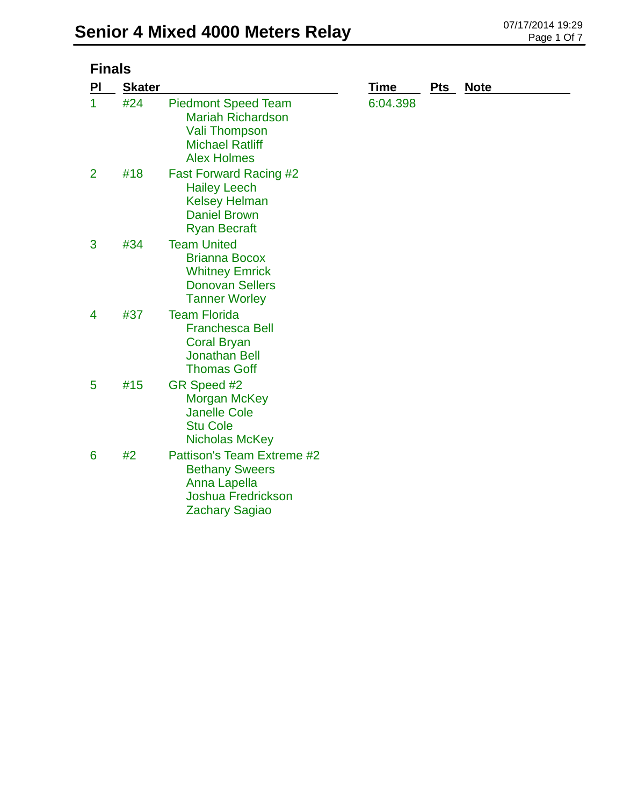| <b>Finals</b>  |               |                                                                                                                                |          |     |             |
|----------------|---------------|--------------------------------------------------------------------------------------------------------------------------------|----------|-----|-------------|
| PI             | <b>Skater</b> |                                                                                                                                | Time     | Pts | <b>Note</b> |
| 1              | #24           | <b>Piedmont Speed Team</b><br><b>Mariah Richardson</b><br><b>Vali Thompson</b><br><b>Michael Ratliff</b><br><b>Alex Holmes</b> | 6:04.398 |     |             |
| $\overline{2}$ | #18           | <b>Fast Forward Racing #2</b><br><b>Hailey Leech</b><br><b>Kelsey Helman</b><br><b>Daniel Brown</b><br><b>Ryan Becraft</b>     |          |     |             |
| 3              | #34           | <b>Team United</b><br><b>Brianna Bocox</b><br><b>Whitney Emrick</b><br><b>Donovan Sellers</b><br><b>Tanner Worley</b>          |          |     |             |
| 4              | #37           | <b>Team Florida</b><br><b>Franchesca Bell</b><br><b>Coral Bryan</b><br><b>Jonathan Bell</b><br><b>Thomas Goff</b>              |          |     |             |
| 5              | #15           | GR Speed #2<br><b>Morgan McKey</b><br><b>Janelle Cole</b><br><b>Stu Cole</b><br>Nicholas McKey                                 |          |     |             |
| 6              | #2            | Pattison's Team Extreme #2<br><b>Bethany Sweers</b><br>Anna Lapella<br><b>Joshua Fredrickson</b><br><b>Zachary Sagiao</b>      |          |     |             |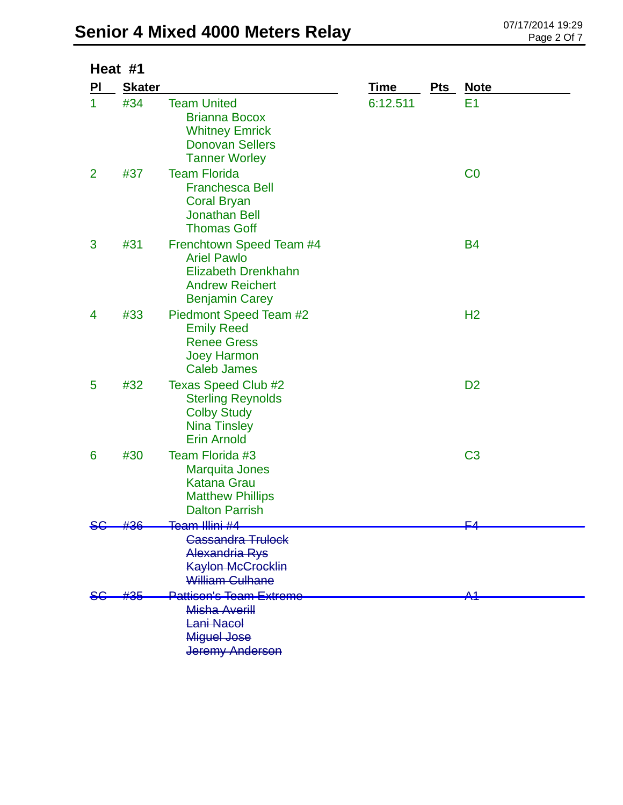## **Senior 4 Mixed 4000 Meters Relay** 07/17/2014 19:29

| Heat #1        |               |                                                                                                                                 |             |            |                |  |
|----------------|---------------|---------------------------------------------------------------------------------------------------------------------------------|-------------|------------|----------------|--|
| PI             | <b>Skater</b> |                                                                                                                                 | <b>Time</b> | <b>Pts</b> | <b>Note</b>    |  |
| 1              | #34           | <b>Team United</b><br><b>Brianna Bocox</b><br><b>Whitney Emrick</b><br><b>Donovan Sellers</b><br><b>Tanner Worley</b>           | 6:12.511    |            | E <sub>1</sub> |  |
| $\overline{2}$ | #37           | <b>Team Florida</b><br><b>Franchesca Bell</b><br><b>Coral Bryan</b><br><b>Jonathan Bell</b><br><b>Thomas Goff</b>               |             |            | CO             |  |
| 3              | #31           | Frenchtown Speed Team #4<br><b>Ariel Pawlo</b><br><b>Elizabeth Drenkhahn</b><br><b>Andrew Reichert</b><br><b>Benjamin Carey</b> |             |            | <b>B4</b>      |  |
| 4              | #33           | Piedmont Speed Team #2<br><b>Emily Reed</b><br><b>Renee Gress</b><br><b>Joey Harmon</b><br><b>Caleb James</b>                   |             |            | H <sub>2</sub> |  |
| 5              | #32           | <b>Texas Speed Club #2</b><br><b>Sterling Reynolds</b><br><b>Colby Study</b><br><b>Nina Tinsley</b><br><b>Erin Arnold</b>       |             |            | D <sub>2</sub> |  |
| 6              | #30           | Team Florida #3<br><b>Marquita Jones</b><br>Katana Grau<br><b>Matthew Phillips</b><br><b>Dalton Parrish</b>                     |             |            | C <sub>3</sub> |  |
|                | #36           | <del>Team Illini #4</del>                                                                                                       |             |            | <u> Г4</u>     |  |
|                |               | <b>Cassandra Trulock</b><br><b>Alexandria Rys</b><br>Kaylon McCrocklin<br><b>William Culhane</b>                                |             |            |                |  |
|                | #35           | <b>Pattison's Team Extreme</b><br><b>Misha Averill</b><br>Lani Nacol<br><b>Miguel Jose</b><br><b>Jeremy Anderson</b>            |             |            | A4             |  |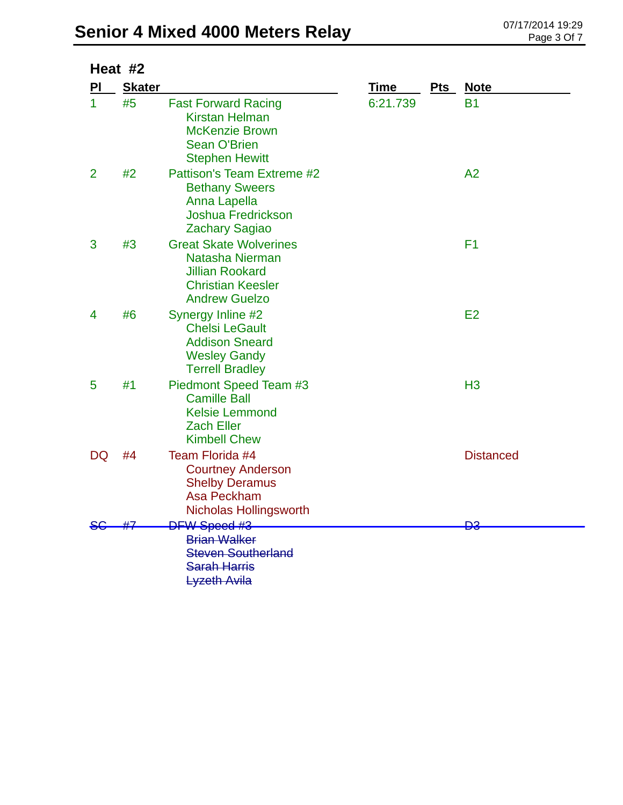| Heat #2      |               |                                                                                                                                |          |     |                  |
|--------------|---------------|--------------------------------------------------------------------------------------------------------------------------------|----------|-----|------------------|
| PI           | <b>Skater</b> |                                                                                                                                | Time     | Pts | <b>Note</b>      |
| $\mathbf{1}$ | #5            | <b>Fast Forward Racing</b><br><b>Kirstan Helman</b><br><b>McKenzie Brown</b><br><b>Sean O'Brien</b><br><b>Stephen Hewitt</b>   | 6:21.739 |     | <b>B1</b>        |
| 2            | #2            | Pattison's Team Extreme #2<br><b>Bethany Sweers</b><br>Anna Lapella<br><b>Joshua Fredrickson</b><br><b>Zachary Sagiao</b>      |          |     | A <sub>2</sub>   |
| 3            | #3            | <b>Great Skate Wolverines</b><br>Natasha Nierman<br><b>Jillian Rookard</b><br><b>Christian Keesler</b><br><b>Andrew Guelzo</b> |          |     | F <sub>1</sub>   |
| 4            | #6            | Synergy Inline #2<br><b>Chelsi LeGault</b><br><b>Addison Sneard</b><br><b>Wesley Gandy</b><br><b>Terrell Bradley</b>           |          |     | E2               |
| 5            | #1            | Piedmont Speed Team #3<br><b>Camille Ball</b><br><b>Kelsie Lemmond</b><br><b>Zach Eller</b><br><b>Kimbell Chew</b>             |          |     | H <sub>3</sub>   |
| DQ           | #4            | Team Florida #4<br><b>Courtney Anderson</b><br><b>Shelby Deramus</b><br>Asa Peckham<br><b>Nicholas Hollingsworth</b>           |          |     | <b>Distanced</b> |
|              |               | <b>DFW Speed #3</b><br><b>Brian Walker</b><br><b>Steven Southerland</b><br><b>Sarah Harris</b><br><b>Lyzeth Avila</b>          |          |     | <del>D3</del>    |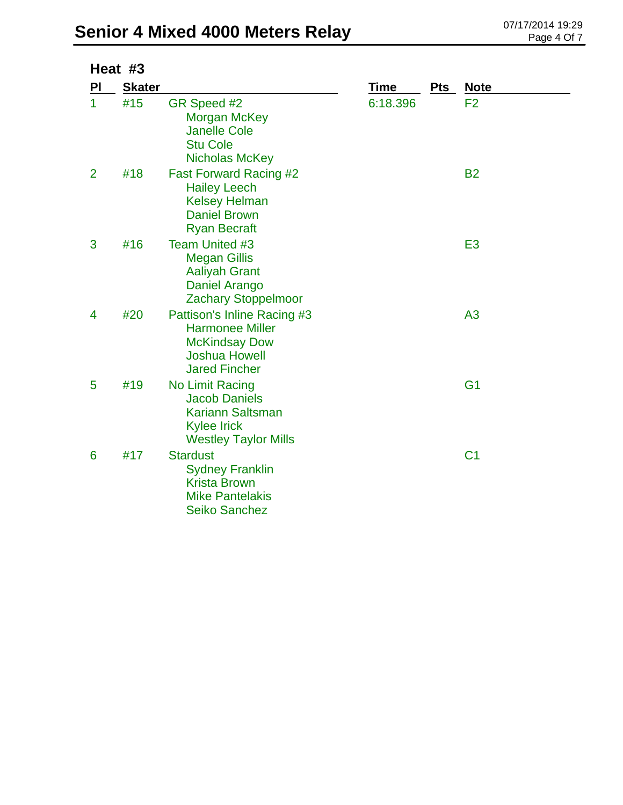## **Senior 4 Mixed 4000 Meters Relay** 07/17/2014 19:29

| Heat #3        |               |                                                                                                                               |             |            |                |  |
|----------------|---------------|-------------------------------------------------------------------------------------------------------------------------------|-------------|------------|----------------|--|
| ΡI             | <b>Skater</b> |                                                                                                                               | <b>Time</b> | <b>Pts</b> | <u>Note</u>    |  |
| $\mathbf{1}$   | #15           | GR Speed #2<br><b>Morgan McKey</b><br><b>Janelle Cole</b><br><b>Stu Cole</b><br><b>Nicholas McKey</b>                         | 6:18.396    |            | F <sub>2</sub> |  |
| $\overline{2}$ | #18           | <b>Fast Forward Racing #2</b><br><b>Hailey Leech</b><br><b>Kelsey Helman</b><br><b>Daniel Brown</b><br><b>Ryan Becraft</b>    |             |            | <b>B2</b>      |  |
| 3              | #16           | <b>Team United #3</b><br><b>Megan Gillis</b><br><b>Aaliyah Grant</b><br>Daniel Arango<br>Zachary Stoppelmoor                  |             |            | E <sub>3</sub> |  |
| 4              | #20           | Pattison's Inline Racing #3<br><b>Harmonee Miller</b><br><b>McKindsay Dow</b><br><b>Joshua Howell</b><br><b>Jared Fincher</b> |             |            | A <sub>3</sub> |  |
| 5              | #19           | No Limit Racing<br><b>Jacob Daniels</b><br><b>Kariann Saltsman</b><br><b>Kylee Irick</b><br><b>Westley Taylor Mills</b>       |             |            | G <sub>1</sub> |  |
| 6              | #17           | <b>Stardust</b><br><b>Sydney Franklin</b><br><b>Krista Brown</b><br><b>Mike Pantelakis</b><br><b>Seiko Sanchez</b>            |             |            | C <sub>1</sub> |  |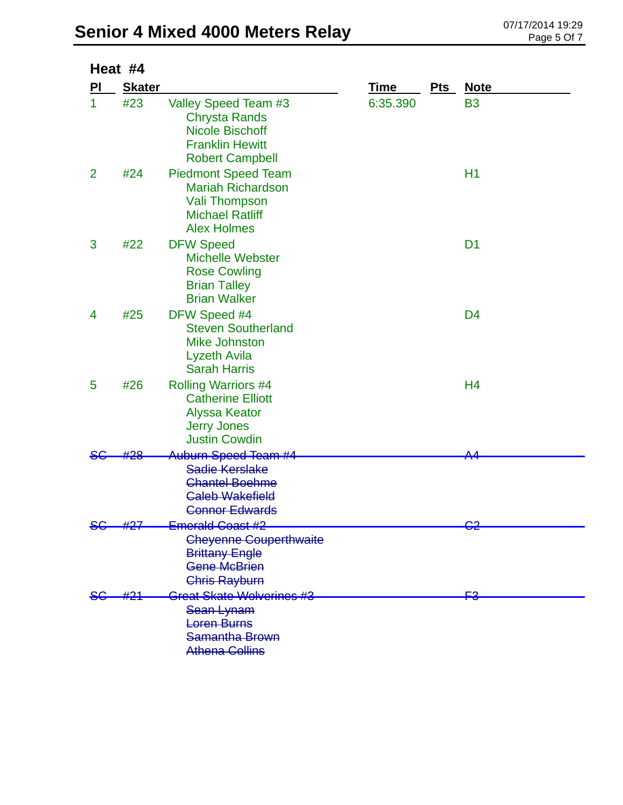| Heat #4        |               |                                                                                                                                |          |     |                |  |
|----------------|---------------|--------------------------------------------------------------------------------------------------------------------------------|----------|-----|----------------|--|
| PI             | <b>Skater</b> |                                                                                                                                | Time     | Pts | <u>Note</u>    |  |
| 1              | #23           | Valley Speed Team #3<br>Chrysta Rands<br><b>Nicole Bischoff</b><br><b>Franklin Hewitt</b><br><b>Robert Campbell</b>            | 6:35.390 |     | <b>B3</b>      |  |
| $\overline{2}$ | #24           | <b>Piedmont Speed Team</b><br><b>Mariah Richardson</b><br><b>Vali Thompson</b><br><b>Michael Ratliff</b><br><b>Alex Holmes</b> |          |     | H1             |  |
| 3              | #22           | <b>DFW Speed</b><br><b>Michelle Webster</b><br><b>Rose Cowling</b><br><b>Brian Talley</b><br><b>Brian Walker</b>               |          |     | D <sub>1</sub> |  |
| 4              | #25           | DFW Speed #4<br><b>Steven Southerland</b><br><b>Mike Johnston</b><br>Lyzeth Avila<br><b>Sarah Harris</b>                       |          |     | D <sub>4</sub> |  |
| 5              | #26           | <b>Rolling Warriors #4</b><br><b>Catherine Elliott</b><br><b>Alyssa Keator</b><br><b>Jerry Jones</b><br><b>Justin Cowdin</b>   |          |     | H4             |  |
|                |               | <del>Auburn Speed Team #4</del>                                                                                                |          |     | ᅀᄼ             |  |
|                |               | Sadie Kerslake<br><b>Chantel Boehme</b><br><b>Caleb Wakefield</b><br><b>Connor Edwards</b>                                     |          |     |                |  |
|                | #27           | Emerald Coast #2                                                                                                               |          |     |                |  |
|                |               | <b>Cheyenne Couperthwaite</b><br><b>Brittany Engle</b><br><b>Gene McBrien</b><br><b>Chris Rayburn</b>                          |          |     |                |  |
|                |               | Great Skate Wolverines #3                                                                                                      |          |     | ≏⊒             |  |
|                |               | Sean Lynam                                                                                                                     |          |     |                |  |
|                |               | <b>Loren Burns</b>                                                                                                             |          |     |                |  |
|                |               | Samantha Brown                                                                                                                 |          |     |                |  |
|                |               | <b>Athena Collins</b>                                                                                                          |          |     |                |  |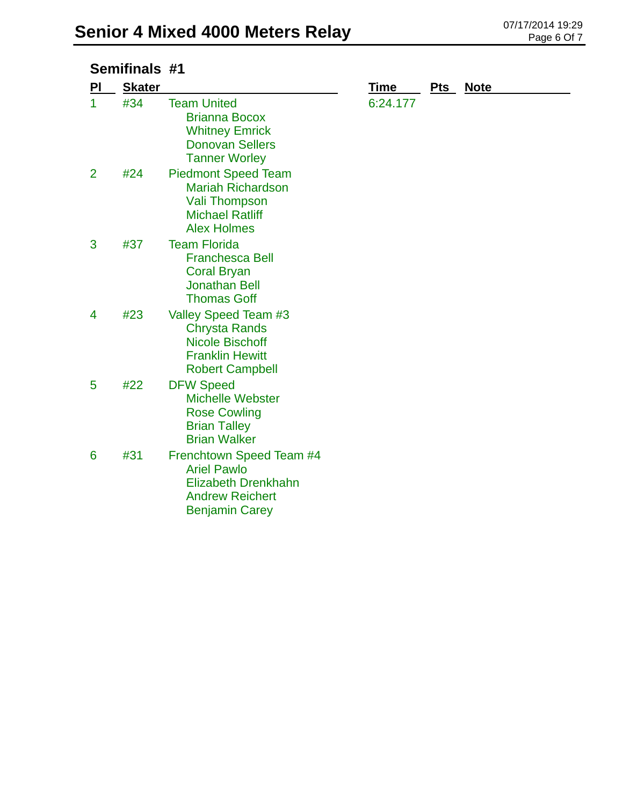| Semifinals #1  |               |                                                                                                                                 |             |     |             |
|----------------|---------------|---------------------------------------------------------------------------------------------------------------------------------|-------------|-----|-------------|
| PI             | <b>Skater</b> |                                                                                                                                 | <b>Time</b> | Pts | <b>Note</b> |
| 1              | #34           | <b>Team United</b><br><b>Brianna Bocox</b><br><b>Whitney Emrick</b><br><b>Donovan Sellers</b><br><b>Tanner Worley</b>           | 6:24.177    |     |             |
| $\overline{2}$ | #24           | <b>Piedmont Speed Team</b><br><b>Mariah Richardson</b><br>Vali Thompson<br><b>Michael Ratliff</b><br><b>Alex Holmes</b>         |             |     |             |
| 3              | #37           | <b>Team Florida</b><br><b>Franchesca Bell</b><br><b>Coral Bryan</b><br><b>Jonathan Bell</b><br><b>Thomas Goff</b>               |             |     |             |
| 4              | #23           | Valley Speed Team #3<br>Chrysta Rands<br><b>Nicole Bischoff</b><br><b>Franklin Hewitt</b><br><b>Robert Campbell</b>             |             |     |             |
| 5              | #22           | <b>DFW Speed</b><br><b>Michelle Webster</b><br><b>Rose Cowling</b><br><b>Brian Talley</b><br><b>Brian Walker</b>                |             |     |             |
| 6              | #31           | Frenchtown Speed Team #4<br><b>Ariel Pawlo</b><br><b>Elizabeth Drenkhahn</b><br><b>Andrew Reichert</b><br><b>Benjamin Carey</b> |             |     |             |